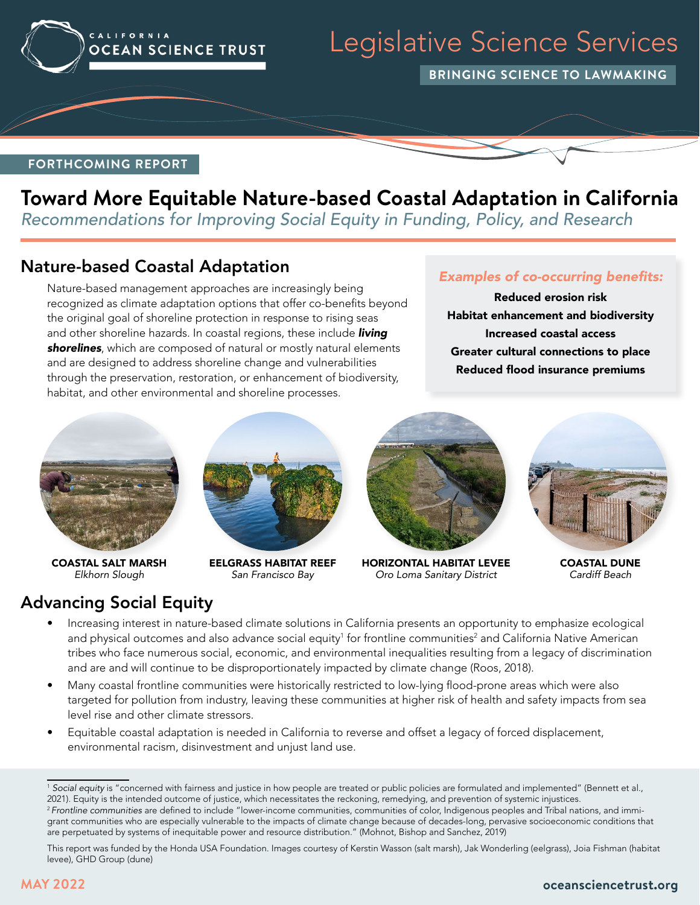

# Legislative Science Services

**BRINGING SCIENCE TO LAWMAKING**

#### **FORTHCOMING REPORT**

## **Toward More Equitable Nature-based Coastal Adaptation in California**

*Recommendations for Improving Social Equity in Funding, Policy, and Research*

### Nature-based Coastal Adaptation

Nature-based management approaches are increasingly being recognized as climate adaptation options that offer co-benefits beyond the original goal of shoreline protection in response to rising seas and other shoreline hazards. In coastal regions, these include *living shorelines*, which are composed of natural or mostly natural elements and are designed to address shoreline change and vulnerabilities through the preservation, restoration, or enhancement of biodiversity, habitat, and other environmental and shoreline processes.

#### Examples of co-occurring benefits:

Reduced erosion risk Habitat enhancement and biodiversity Increased coastal access Greater cultural connections to place Reduced flood insurance premiums



COASTAL SALT MARSH *Elkhorn Slough*

Advancing Social Equity



EELGRASS HABITAT REEF *San Francisco Bay*



HORIZONTAL HABITAT LEVEE *Oro Loma Sanitary District*



COASTAL DUNE *Cardiff Beach*

- Increasing interest in nature-based climate solutions in California presents an opportunity to emphasize ecological and physical outcomes and also advance social equity<sup>1</sup> for frontline communities<sup>2</sup> and California Native American tribes who face numerous social, economic, and environmental inequalities resulting from a legacy of discrimination and are and will continue to be disproportionately impacted by climate change (Roos, 2018).
	- Many coastal frontline communities were historically restricted to low-lying flood-prone areas which were also targeted for pollution from industry, leaving these communities at higher risk of health and safety impacts from sea level rise and other climate stressors.
	- Equitable coastal adaptation is needed in California to reverse and offset a legacy of forced displacement, environmental racism, disinvestment and unjust land use.

<sup>&</sup>lt;sup>1</sup> Social equity is "concerned with fairness and justice in how people are treated or public policies are formulated and implemented" (Bennett et al., 2021). Equity is the intended outcome of justice, which necessitates the reckoning, remedying, and prevention of systemic injustices. <sup>2</sup>*Frontline communities* are defined to include "lower-income communities, communities of color, Indigenous peoples and Tribal nations, and immigrant communities who are especially vulnerable to the impacts of climate change because of decades-long, pervasive socioeconomic conditions that are perpetuated by systems of inequitable power and resource distribution." (Mohnot, Bishop and Sanchez, 2019)

This report was funded by the Honda USA Foundation. Images courtesy of Kerstin Wasson (salt marsh), Jak Wonderling (eelgrass), Joia Fishman (habitat levee), GHD Group (dune)